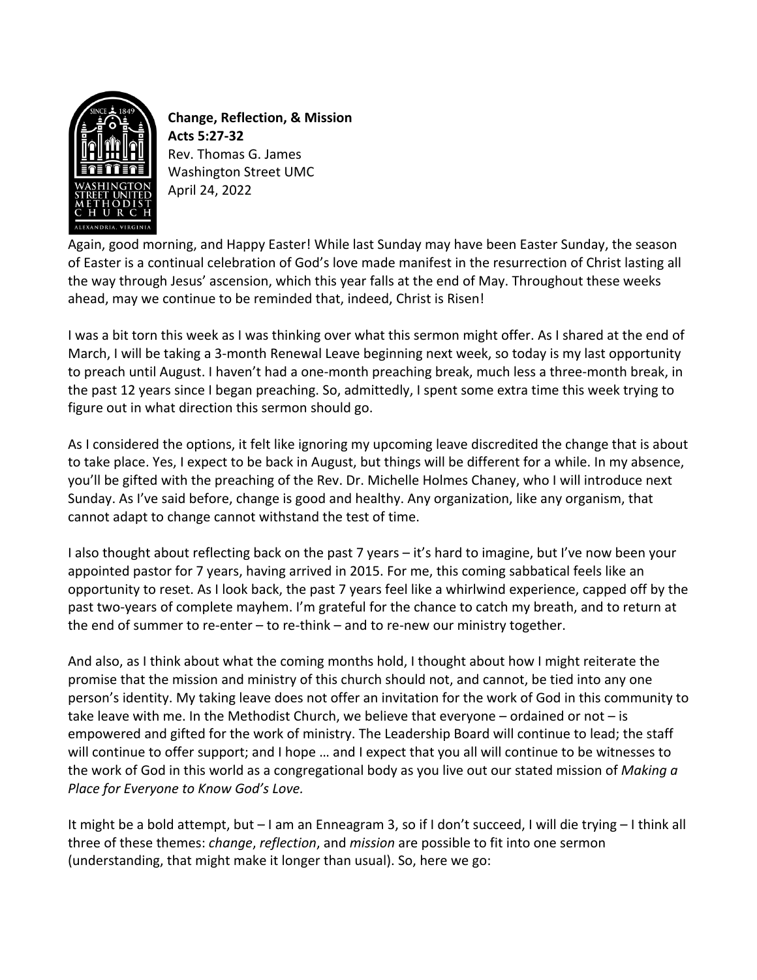

**Change, Reflection, & Mission Acts 5:27-32** Rev. Thomas G. James Washington Street UMC April 24, 2022

Again, good morning, and Happy Easter! While last Sunday may have been Easter Sunday, the season of Easter is a continual celebration of God's love made manifest in the resurrection of Christ lasting all the way through Jesus' ascension, which this year falls at the end of May. Throughout these weeks ahead, may we continue to be reminded that, indeed, Christ is Risen!

I was a bit torn this week as I was thinking over what this sermon might offer. As I shared at the end of March, I will be taking a 3-month Renewal Leave beginning next week, so today is my last opportunity to preach until August. I haven't had a one-month preaching break, much less a three-month break, in the past 12 years since I began preaching. So, admittedly, I spent some extra time this week trying to figure out in what direction this sermon should go.

As I considered the options, it felt like ignoring my upcoming leave discredited the change that is about to take place. Yes, I expect to be back in August, but things will be different for a while. In my absence, you'll be gifted with the preaching of the Rev. Dr. Michelle Holmes Chaney, who I will introduce next Sunday. As I've said before, change is good and healthy. Any organization, like any organism, that cannot adapt to change cannot withstand the test of time.

I also thought about reflecting back on the past 7 years – it's hard to imagine, but I've now been your appointed pastor for 7 years, having arrived in 2015. For me, this coming sabbatical feels like an opportunity to reset. As I look back, the past 7 years feel like a whirlwind experience, capped off by the past two-years of complete mayhem. I'm grateful for the chance to catch my breath, and to return at the end of summer to re-enter – to re-think – and to re-new our ministry together.

And also, as I think about what the coming months hold, I thought about how I might reiterate the promise that the mission and ministry of this church should not, and cannot, be tied into any one person's identity. My taking leave does not offer an invitation for the work of God in this community to take leave with me. In the Methodist Church, we believe that everyone  $-$  ordained or not  $-$  is empowered and gifted for the work of ministry. The Leadership Board will continue to lead; the staff will continue to offer support; and I hope … and I expect that you all will continue to be witnesses to the work of God in this world as a congregational body as you live out our stated mission of *Making a Place for Everyone to Know God's Love.*

It might be a bold attempt, but – I am an Enneagram 3, so if I don't succeed, I will die trying – I think all three of these themes: *change*, *reflection*, and *mission* are possible to fit into one sermon (understanding, that might make it longer than usual). So, here we go: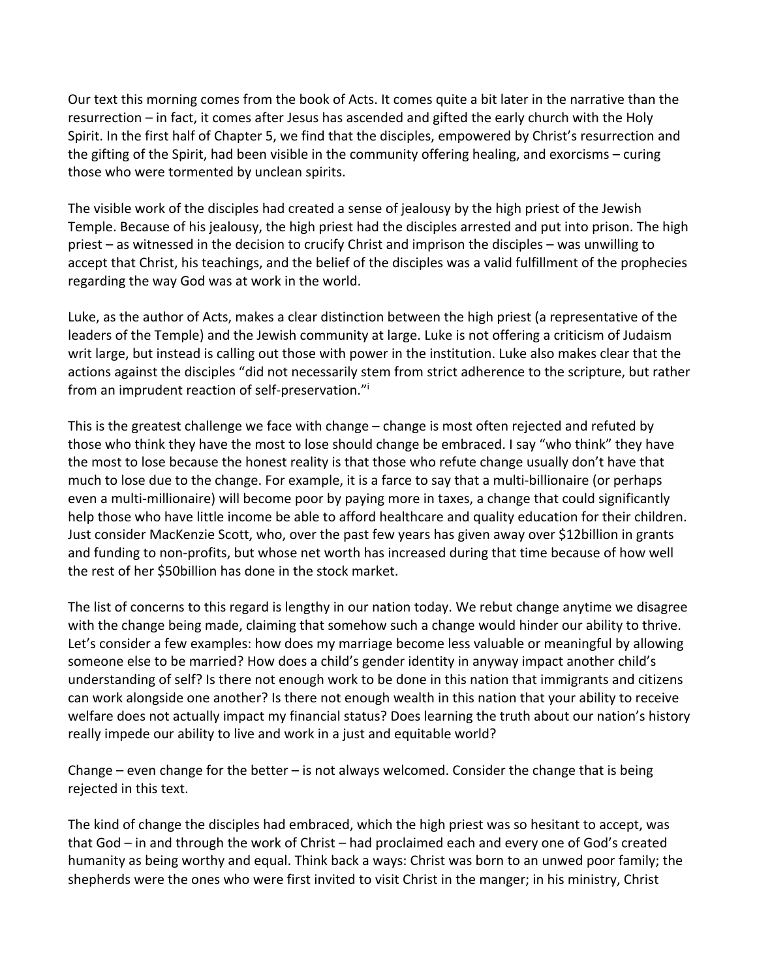Our text this morning comes from the book of Acts. It comes quite a bit later in the narrative than the resurrection – in fact, it comes after Jesus has ascended and gifted the early church with the Holy Spirit. In the first half of Chapter 5, we find that the disciples, empowered by Christ's resurrection and the gifting of the Spirit, had been visible in the community offering healing, and exorcisms – curing those who were tormented by unclean spirits.

The visible work of the disciples had created a sense of jealousy by the high priest of the Jewish Temple. Because of his jealousy, the high priest had the disciples arrested and put into prison. The high priest – as witnessed in the decision to crucify Christ and imprison the disciples – was unwilling to accept that Christ, his teachings, and the belief of the disciples was a valid fulfillment of the prophecies regarding the way God was at work in the world.

Luke, as the author of Acts, makes a clear distinction between the high priest (a representative of the leaders of the Temple) and the Jewish community at large. Luke is not offering a criticism of Judaism writ large, but instead is calling out those with power in the institution. Luke also makes clear that the actions against the disciples "did not necessarily stem from strict adherence to the scripture, but rather from an imprudent reaction of self-preservation."i

This is the greatest challenge we face with change – change is most often rejected and refuted by those who think they have the most to lose should change be embraced. I say "who think" they have the most to lose because the honest reality is that those who refute change usually don't have that much to lose due to the change. For example, it is a farce to say that a multi-billionaire (or perhaps even a multi-millionaire) will become poor by paying more in taxes, a change that could significantly help those who have little income be able to afford healthcare and quality education for their children. Just consider MacKenzie Scott, who, over the past few years has given away over \$12billion in grants and funding to non-profits, but whose net worth has increased during that time because of how well the rest of her \$50billion has done in the stock market.

The list of concerns to this regard is lengthy in our nation today. We rebut change anytime we disagree with the change being made, claiming that somehow such a change would hinder our ability to thrive. Let's consider a few examples: how does my marriage become less valuable or meaningful by allowing someone else to be married? How does a child's gender identity in anyway impact another child's understanding of self? Is there not enough work to be done in this nation that immigrants and citizens can work alongside one another? Is there not enough wealth in this nation that your ability to receive welfare does not actually impact my financial status? Does learning the truth about our nation's history really impede our ability to live and work in a just and equitable world?

Change – even change for the better – is not always welcomed. Consider the change that is being rejected in this text.

The kind of change the disciples had embraced, which the high priest was so hesitant to accept, was that God – in and through the work of Christ – had proclaimed each and every one of God's created humanity as being worthy and equal. Think back a ways: Christ was born to an unwed poor family; the shepherds were the ones who were first invited to visit Christ in the manger; in his ministry, Christ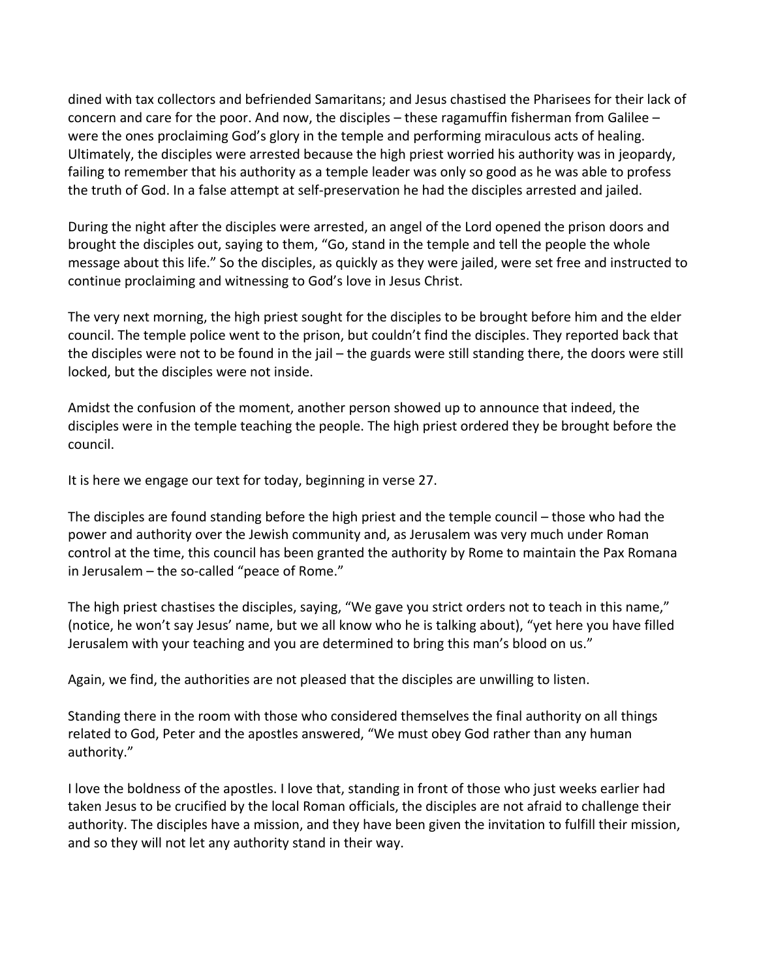dined with tax collectors and befriended Samaritans; and Jesus chastised the Pharisees for their lack of concern and care for the poor. And now, the disciples – these ragamuffin fisherman from Galilee – were the ones proclaiming God's glory in the temple and performing miraculous acts of healing. Ultimately, the disciples were arrested because the high priest worried his authority was in jeopardy, failing to remember that his authority as a temple leader was only so good as he was able to profess the truth of God. In a false attempt at self-preservation he had the disciples arrested and jailed.

During the night after the disciples were arrested, an angel of the Lord opened the prison doors and brought the disciples out, saying to them, "Go, stand in the temple and tell the people the whole message about this life." So the disciples, as quickly as they were jailed, were set free and instructed to continue proclaiming and witnessing to God's love in Jesus Christ.

The very next morning, the high priest sought for the disciples to be brought before him and the elder council. The temple police went to the prison, but couldn't find the disciples. They reported back that the disciples were not to be found in the jail – the guards were still standing there, the doors were still locked, but the disciples were not inside.

Amidst the confusion of the moment, another person showed up to announce that indeed, the disciples were in the temple teaching the people. The high priest ordered they be brought before the council.

It is here we engage our text for today, beginning in verse 27.

The disciples are found standing before the high priest and the temple council – those who had the power and authority over the Jewish community and, as Jerusalem was very much under Roman control at the time, this council has been granted the authority by Rome to maintain the Pax Romana in Jerusalem – the so-called "peace of Rome."

The high priest chastises the disciples, saying, "We gave you strict orders not to teach in this name," (notice, he won't say Jesus' name, but we all know who he is talking about), "yet here you have filled Jerusalem with your teaching and you are determined to bring this man's blood on us."

Again, we find, the authorities are not pleased that the disciples are unwilling to listen.

Standing there in the room with those who considered themselves the final authority on all things related to God, Peter and the apostles answered, "We must obey God rather than any human authority."

I love the boldness of the apostles. I love that, standing in front of those who just weeks earlier had taken Jesus to be crucified by the local Roman officials, the disciples are not afraid to challenge their authority. The disciples have a mission, and they have been given the invitation to fulfill their mission, and so they will not let any authority stand in their way.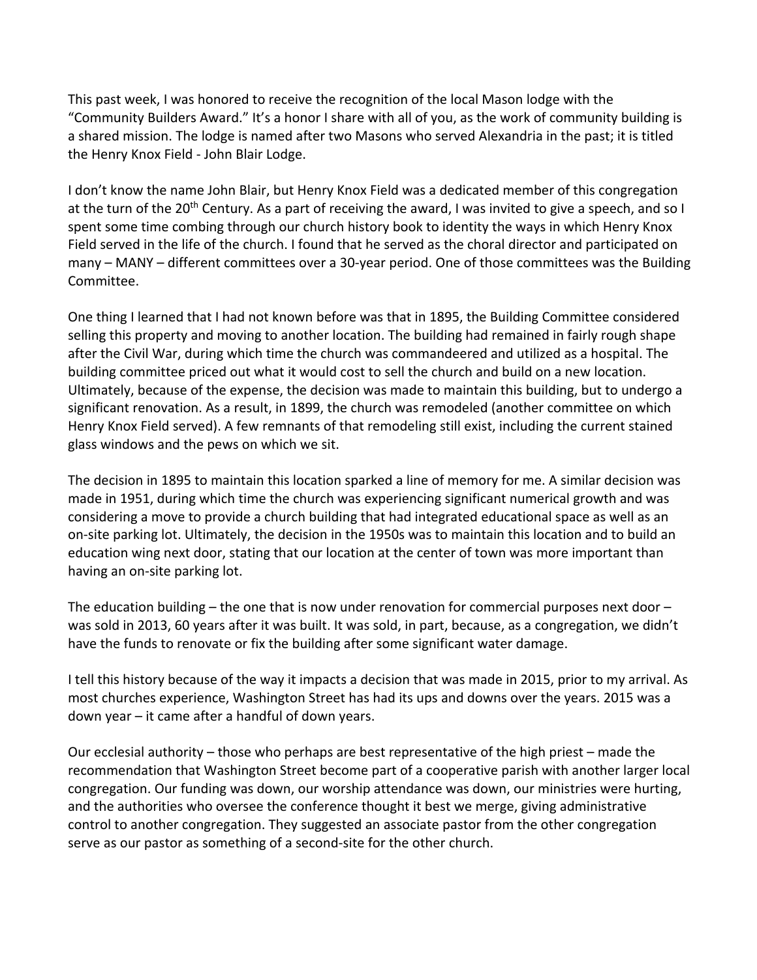This past week, I was honored to receive the recognition of the local Mason lodge with the "Community Builders Award." It's a honor I share with all of you, as the work of community building is a shared mission. The lodge is named after two Masons who served Alexandria in the past; it is titled the Henry Knox Field - John Blair Lodge.

I don't know the name John Blair, but Henry Knox Field was a dedicated member of this congregation at the turn of the 20<sup>th</sup> Century. As a part of receiving the award, I was invited to give a speech, and so I spent some time combing through our church history book to identity the ways in which Henry Knox Field served in the life of the church. I found that he served as the choral director and participated on many – MANY – different committees over a 30-year period. One of those committees was the Building Committee.

One thing I learned that I had not known before was that in 1895, the Building Committee considered selling this property and moving to another location. The building had remained in fairly rough shape after the Civil War, during which time the church was commandeered and utilized as a hospital. The building committee priced out what it would cost to sell the church and build on a new location. Ultimately, because of the expense, the decision was made to maintain this building, but to undergo a significant renovation. As a result, in 1899, the church was remodeled (another committee on which Henry Knox Field served). A few remnants of that remodeling still exist, including the current stained glass windows and the pews on which we sit.

The decision in 1895 to maintain this location sparked a line of memory for me. A similar decision was made in 1951, during which time the church was experiencing significant numerical growth and was considering a move to provide a church building that had integrated educational space as well as an on-site parking lot. Ultimately, the decision in the 1950s was to maintain this location and to build an education wing next door, stating that our location at the center of town was more important than having an on-site parking lot.

The education building  $-$  the one that is now under renovation for commercial purposes next door  $$ was sold in 2013, 60 years after it was built. It was sold, in part, because, as a congregation, we didn't have the funds to renovate or fix the building after some significant water damage.

I tell this history because of the way it impacts a decision that was made in 2015, prior to my arrival. As most churches experience, Washington Street has had its ups and downs over the years. 2015 was a down year – it came after a handful of down years.

Our ecclesial authority – those who perhaps are best representative of the high priest – made the recommendation that Washington Street become part of a cooperative parish with another larger local congregation. Our funding was down, our worship attendance was down, our ministries were hurting, and the authorities who oversee the conference thought it best we merge, giving administrative control to another congregation. They suggested an associate pastor from the other congregation serve as our pastor as something of a second-site for the other church.